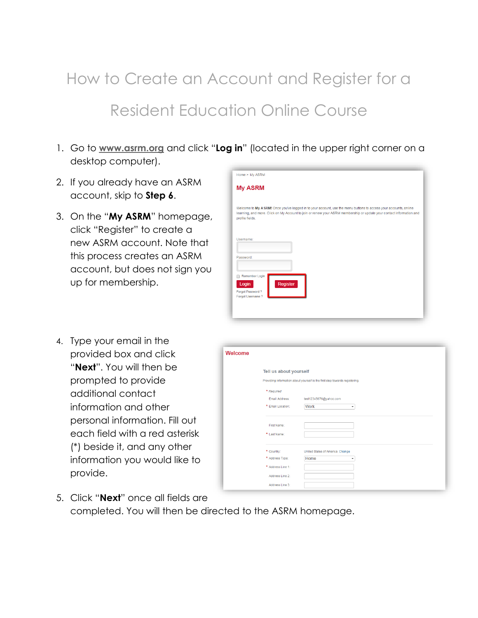## How to Create an Account and Register for a Resident Education Online Course

- 1. Go to **[www.asrm.org](http://www.asrm.org/)** and click "**Log in**" (located in the upper right corner on a desktop computer).
- 2. If you already have an ASRM account, skip to **Step 6**.
- 3. On the "**My ASRM**" homepage, click "Register" to create a new ASRM account. Note that this process creates an ASRM account, but does not sign you up for membership.

| Home > My ASRM                                                                                                                                                                                                                                             |
|------------------------------------------------------------------------------------------------------------------------------------------------------------------------------------------------------------------------------------------------------------|
| <b>My ASRM</b>                                                                                                                                                                                                                                             |
| Welcome to My ASRM! Once you've logged in to your account, use the menu buttons to access your accounts, online<br>learning, and more. Click on My Account to join or renew your ASRM membership or update your contact information and<br>profile fields. |
| Username:                                                                                                                                                                                                                                                  |
| Password:                                                                                                                                                                                                                                                  |
| Remember Login<br><b>Register</b><br>Login<br>Forgot Password?<br>Forgot Username?                                                                                                                                                                         |
|                                                                                                                                                                                                                                                            |

4. Type your email in the provided box and click "**Next**". You will then be prompted to provide additional contact information and other personal information. Fill out each field with a red asterisk (\*) beside it, and any other information you would like to provide.

| Welcome |                        |                                                                             |
|---------|------------------------|-----------------------------------------------------------------------------|
|         | Tell us about yourself |                                                                             |
|         |                        | Providing information about yourself is the first step towards registering. |
|         | * Required             |                                                                             |
|         | Email Address:         | test12345676@yahoo.com                                                      |
|         | * Email Location:      | <b>Work</b><br>٠                                                            |
|         |                        |                                                                             |
|         | First Name:            |                                                                             |
|         | * Last Name:           |                                                                             |
|         | * Country:             | United States of America Change                                             |
|         | * Address Type:        | Home                                                                        |
|         | * Address Line 1:      |                                                                             |
|         | Address Line 2:        |                                                                             |
|         | Address Line 3:        |                                                                             |

5. Click "**Next**" once all fields are completed. You will then be directed to the ASRM homepage.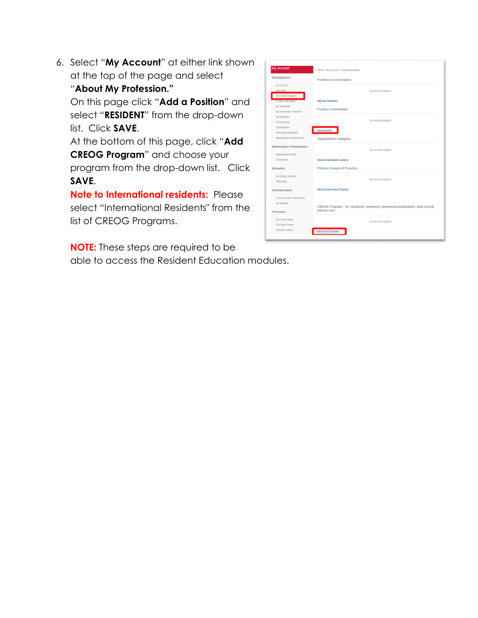6. Select "**My Account**" at either link shown at the top of the page and select "**About My Profession."**

On this page click "**Add a Position**" and select "**RESIDENT**" from the drop-down list. Click **SAVE**.

At the bottom of this page, click "**Add CREOG Program**" and choose your program from the drop-down list. Click **SAVE**.

**Note to International residents:** Please select "International Residents" from the list of CREOG Programs.

**NOTE:** These steps are required to be able to access the Resident Education modules.

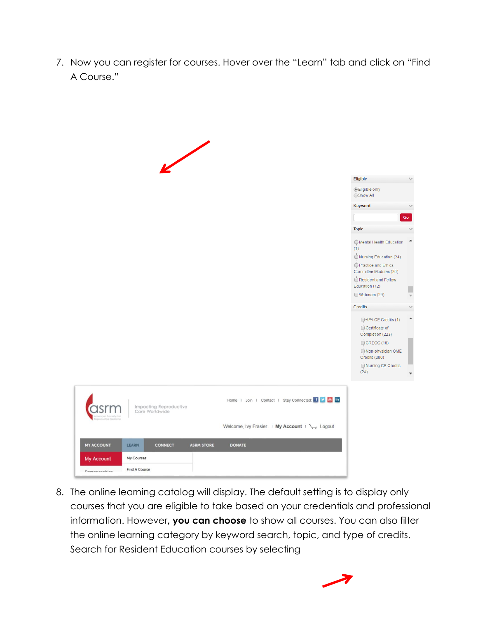7. Now you can register for courses. Hover over the "Learn" tab and click on "Find A Course."



8. The online learning catalog will display. The default setting is to display only courses that you are eligible to take based on your credentials and professional information. However**, you can choose** to show all courses. You can also filter the online learning category by keyword search, topic, and type of credits. Search for Resident Education courses by selecting